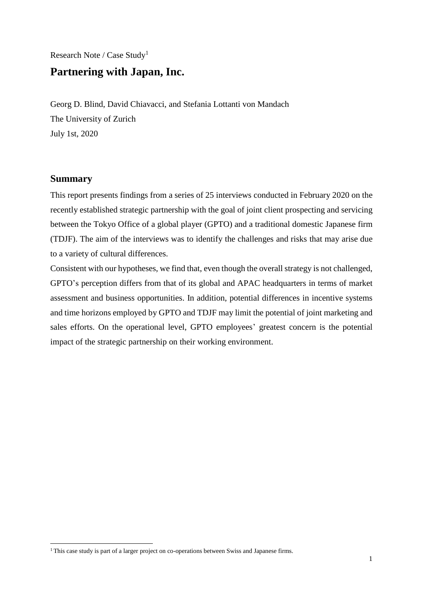# Research Note / Case Study<sup>1</sup> **Partnering with Japan, Inc.**

Georg D. Blind, David Chiavacci, and Stefania Lottanti von Mandach The University of Zurich July 1st, 2020

# **Summary**

 $\overline{a}$ 

This report presents findings from a series of 25 interviews conducted in February 2020 on the recently established strategic partnership with the goal of joint client prospecting and servicing between the Tokyo Office of a global player (GPTO) and a traditional domestic Japanese firm (TDJF). The aim of the interviews was to identify the challenges and risks that may arise due to a variety of cultural differences.

Consistent with our hypotheses, we find that, even though the overall strategy is not challenged, GPTO's perception differs from that of its global and APAC headquarters in terms of market assessment and business opportunities. In addition, potential differences in incentive systems and time horizons employed by GPTO and TDJF may limit the potential of joint marketing and sales efforts. On the operational level, GPTO employees' greatest concern is the potential impact of the strategic partnership on their working environment.

<sup>&</sup>lt;sup>1</sup> This case study is part of a larger project on co-operations between Swiss and Japanese firms.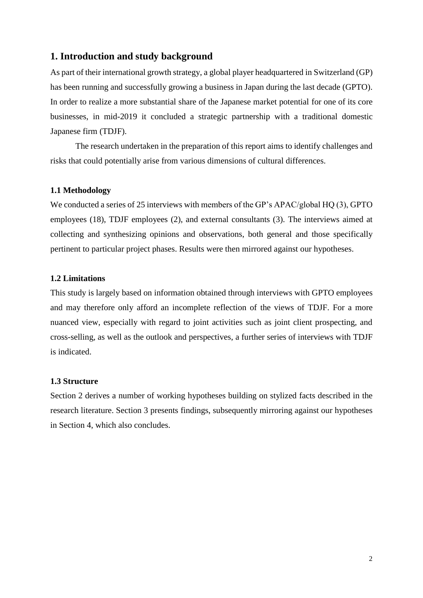# **1. Introduction and study background**

As part of their international growth strategy, a global player headquartered in Switzerland (GP) has been running and successfully growing a business in Japan during the last decade (GPTO). In order to realize a more substantial share of the Japanese market potential for one of its core businesses, in mid-2019 it concluded a strategic partnership with a traditional domestic Japanese firm (TDJF).

The research undertaken in the preparation of this report aims to identify challenges and risks that could potentially arise from various dimensions of cultural differences.

# **1.1 Methodology**

We conducted a series of 25 interviews with members of the GP's APAC/global HQ (3), GPTO employees (18), TDJF employees (2), and external consultants (3). The interviews aimed at collecting and synthesizing opinions and observations, both general and those specifically pertinent to particular project phases. Results were then mirrored against our hypotheses.

# **1.2 Limitations**

This study is largely based on information obtained through interviews with GPTO employees and may therefore only afford an incomplete reflection of the views of TDJF. For a more nuanced view, especially with regard to joint activities such as joint client prospecting, and cross-selling, as well as the outlook and perspectives, a further series of interviews with TDJF is indicated.

#### **1.3 Structure**

Section 2 derives a number of working hypotheses building on stylized facts described in the research literature. Section 3 presents findings, subsequently mirroring against our hypotheses in Section 4, which also concludes.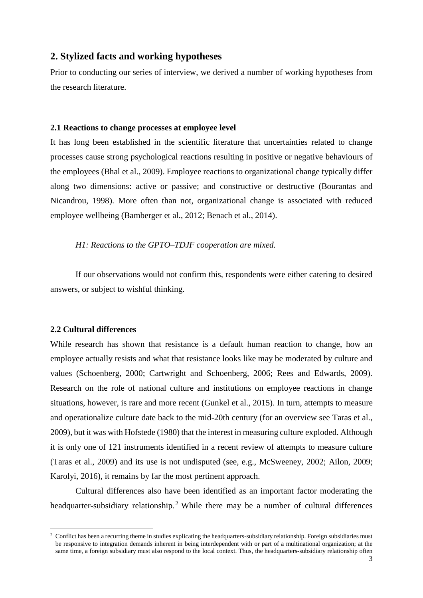# **2. Stylized facts and working hypotheses**

Prior to conducting our series of interview, we derived a number of working hypotheses from the research literature.

#### **2.1 Reactions to change processes at employee level**

It has long been established in the scientific literature that uncertainties related to change processes cause strong psychological reactions resulting in positive or negative behaviours of the employees (Bhal et al., 2009). Employee reactions to organizational change typically differ along two dimensions: active or passive; and constructive or destructive (Bourantas and Nicandrou, 1998). More often than not, organizational change is associated with reduced employee wellbeing (Bamberger et al., 2012; Benach et al., 2014).

#### *H1: Reactions to the GPTO–TDJF cooperation are mixed.*

If our observations would not confirm this, respondents were either catering to desired answers, or subject to wishful thinking.

#### **2.2 Cultural differences**

 $\overline{a}$ 

While research has shown that resistance is a default human reaction to change, how an employee actually resists and what that resistance looks like may be moderated by culture and values (Schoenberg, 2000; Cartwright and Schoenberg, 2006; Rees and Edwards, 2009). Research on the role of national culture and institutions on employee reactions in change situations, however, is rare and more recent (Gunkel et al., 2015). In turn, attempts to measure and operationalize culture date back to the mid-20th century (for an overview see Taras et al., 2009), but it was with Hofstede (1980) that the interest in measuring culture exploded. Although it is only one of 121 instruments identified in a recent review of attempts to measure culture (Taras et al., 2009) and its use is not undisputed (see, e.g., McSweeney, 2002; Ailon, 2009; Karolyi, 2016), it remains by far the most pertinent approach.

Cultural differences also have been identified as an important factor moderating the headquarter-subsidiary relationship.<sup>2</sup> While there may be a number of cultural differences

<sup>&</sup>lt;sup>2</sup> Conflict has been a recurring theme in studies explicating the headquarters-subsidiary relationship. Foreign subsidiaries must be responsive to integration demands inherent in being interdependent with or part of a multinational organization; at the same time, a foreign subsidiary must also respond to the local context. Thus, the headquarters-subsidiary relationship often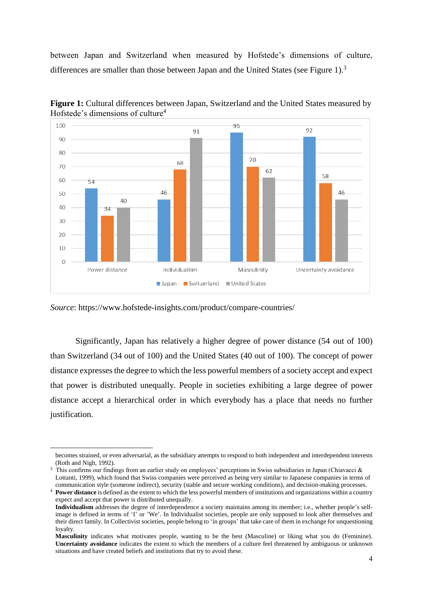between Japan and Switzerland when measured by Hofstede's dimensions of culture, differences are smaller than those between Japan and the United States (see Figure 1).<sup>3</sup>



**Figure 1:** Cultural differences between Japan, Switzerland and the United States measured by Hofstede's dimensions of culture<sup>4</sup>

*Source*: https://www.hofstede-insights.com/product/compare-countries/

 $\overline{a}$ 

Significantly, Japan has relatively a higher degree of power distance (54 out of 100) than Switzerland (34 out of 100) and the United States (40 out of 100). The concept of power distance expresses the degree to which the less powerful members of a society accept and expect that power is distributed unequally. People in societies exhibiting a large degree of power distance accept a hierarchical order in which everybody has a place that needs no further justification.

becomes strained, or even adversarial, as the subsidiary attempts to respond to both independent and interdependent interests (Roth and Nigh, 1992).

<sup>&</sup>lt;sup>3</sup> This confirms our findings from an earlier study on employees' perceptions in Swiss subsidiaries in Japan (Chiavacci & Lottanti, 1999), which found that Swiss companies were perceived as being very similar to Japanese companies in terms of communication style (someone indirect), security (stable and secure working conditions), and decision-making processes.

<sup>4</sup> **Power distance** is defined as the extent to which the less powerful members of institutions and organizations within a country expect and accept that power is distributed unequally.

**Individualism** addresses the degree of interdependence a society maintains among its member; i.e., whether people's selfimage is defined in terms of 'I' or 'We'. In Individualist societies, people are only supposed to look after themselves and their direct family. In Collectivist societies, people belong to 'in groups' that take care of them in exchange for unquestioning loyalty.

**Masculinity** indicates what motivates people, wanting to be the best (Masculine) or liking what you do (Feminine). **Uncertainty avoidance** indicates the extent to which the members of a culture feel threatened by ambiguous or unknown situations and have created beliefs and institutions that try to avoid these.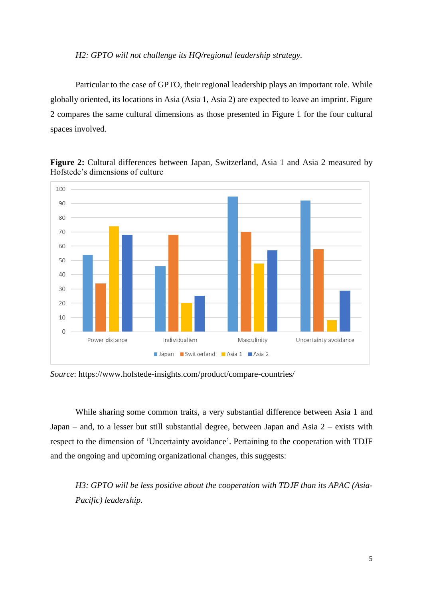#### *H2: GPTO will not challenge its HQ/regional leadership strategy.*

Particular to the case of GPTO, their regional leadership plays an important role. While globally oriented, its locations in Asia (Asia 1, Asia 2) are expected to leave an imprint. Figure 2 compares the same cultural dimensions as those presented in Figure 1 for the four cultural spaces involved.



**Figure 2:** Cultural differences between Japan, Switzerland, Asia 1 and Asia 2 measured by Hofstede's dimensions of culture

*Source*: https://www.hofstede-insights.com/product/compare-countries/

While sharing some common traits, a very substantial difference between Asia 1 and Japan – and, to a lesser but still substantial degree, between Japan and Asia 2 – exists with respect to the dimension of 'Uncertainty avoidance'. Pertaining to the cooperation with TDJF and the ongoing and upcoming organizational changes, this suggests:

*H3: GPTO will be less positive about the cooperation with TDJF than its APAC (Asia-Pacific) leadership.*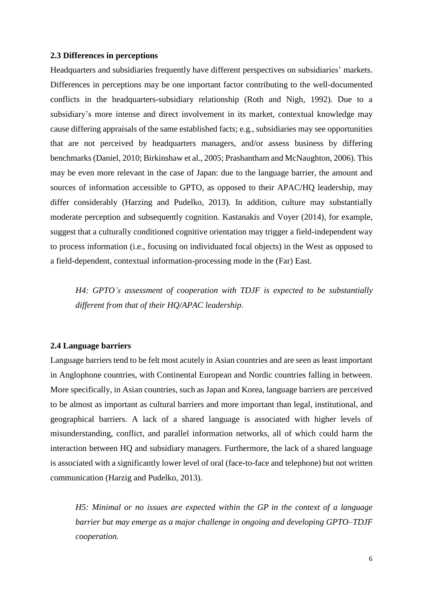#### **2.3 Differences in perceptions**

Headquarters and subsidiaries frequently have different perspectives on subsidiaries' markets. Differences in perceptions may be one important factor contributing to the well-documented conflicts in the headquarters-subsidiary relationship (Roth and Nigh, 1992). Due to a subsidiary's more intense and direct involvement in its market, contextual knowledge may cause differing appraisals of the same established facts; e.g., subsidiaries may see opportunities that are not perceived by headquarters managers, and/or assess business by differing benchmarks (Daniel, 2010; Birkinshaw et al., 2005; Prashantham and McNaughton, 2006). This may be even more relevant in the case of Japan: due to the language barrier, the amount and sources of information accessible to GPTO, as opposed to their APAC/HQ leadership, may differ considerably (Harzing and Pudelko, 2013). In addition, culture may substantially moderate perception and subsequently cognition. Kastanakis and Voyer (2014), for example, suggest that a culturally conditioned cognitive orientation may trigger a field-independent way to process information (i.e., focusing on individuated focal objects) in the West as opposed to a field-dependent, contextual information-processing mode in the (Far) East.

*H4: GPTO's assessment of cooperation with TDJF is expected to be substantially different from that of their HQ/APAC leadership.*

#### **2.4 Language barriers**

Language barriers tend to be felt most acutely in Asian countries and are seen as least important in Anglophone countries, with Continental European and Nordic countries falling in between. More specifically, in Asian countries, such as Japan and Korea, language barriers are perceived to be almost as important as cultural barriers and more important than legal, institutional, and geographical barriers. A lack of a shared language is associated with higher levels of misunderstanding, conflict, and parallel information networks, all of which could harm the interaction between HQ and subsidiary managers. Furthermore, the lack of a shared language is associated with a significantly lower level of oral (face-to-face and telephone) but not written communication (Harzig and Pudelko, 2013).

*H5: Minimal or no issues are expected within the GP in the context of a language barrier but may emerge as a major challenge in ongoing and developing GPTO–TDJF cooperation.*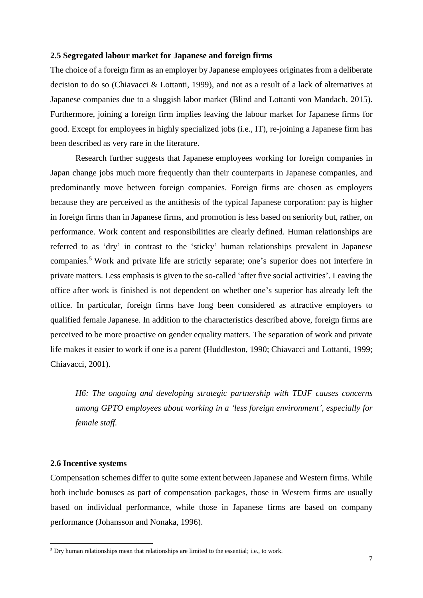#### **2.5 Segregated labour market for Japanese and foreign firms**

The choice of a foreign firm as an employer by Japanese employees originates from a deliberate decision to do so (Chiavacci & Lottanti, 1999), and not as a result of a lack of alternatives at Japanese companies due to a sluggish labor market (Blind and Lottanti von Mandach, 2015). Furthermore, joining a foreign firm implies leaving the labour market for Japanese firms for good. Except for employees in highly specialized jobs (i.e., IT), re-joining a Japanese firm has been described as very rare in the literature.

Research further suggests that Japanese employees working for foreign companies in Japan change jobs much more frequently than their counterparts in Japanese companies, and predominantly move between foreign companies. Foreign firms are chosen as employers because they are perceived as the antithesis of the typical Japanese corporation: pay is higher in foreign firms than in Japanese firms, and promotion is less based on seniority but, rather, on performance. Work content and responsibilities are clearly defined. Human relationships are referred to as 'dry' in contrast to the 'sticky' human relationships prevalent in Japanese companies.<sup>5</sup> Work and private life are strictly separate; one's superior does not interfere in private matters. Less emphasis is given to the so-called 'after five social activities'. Leaving the office after work is finished is not dependent on whether one's superior has already left the office. In particular, foreign firms have long been considered as attractive employers to qualified female Japanese. In addition to the characteristics described above, foreign firms are perceived to be more proactive on gender equality matters. The separation of work and private life makes it easier to work if one is a parent (Huddleston, 1990; Chiavacci and Lottanti, 1999; Chiavacci, 2001).

*H6: The ongoing and developing strategic partnership with TDJF causes concerns among GPTO employees about working in a 'less foreign environment', especially for female staff.*

#### **2.6 Incentive systems**

 $\overline{a}$ 

Compensation schemes differ to quite some extent between Japanese and Western firms. While both include bonuses as part of compensation packages, those in Western firms are usually based on individual performance, while those in Japanese firms are based on company performance (Johansson and Nonaka, 1996).

<sup>5</sup> Dry human relationships mean that relationships are limited to the essential; i.e., to work.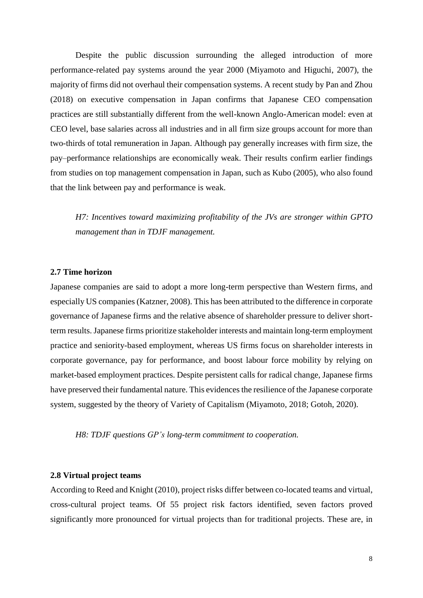Despite the public discussion surrounding the alleged introduction of more performance-related pay systems around the year 2000 (Miyamoto and Higuchi, 2007), the majority of firms did not overhaul their compensation systems. A recent study by Pan and Zhou (2018) on executive compensation in Japan confirms that Japanese CEO compensation practices are still substantially different from the well-known Anglo-American model: even at CEO level, base salaries across all industries and in all firm size groups account for more than two-thirds of total remuneration in Japan. Although pay generally increases with firm size, the pay–performance relationships are economically weak. Their results confirm earlier findings from studies on top management compensation in Japan, such as Kubo (2005), who also found that the link between pay and performance is weak.

*H7: Incentives toward maximizing profitability of the JVs are stronger within GPTO management than in TDJF management.*

### **2.7 Time horizon**

Japanese companies are said to adopt a more long-term perspective than Western firms, and especially US companies (Katzner, 2008). This has been attributed to the difference in corporate governance of Japanese firms and the relative absence of shareholder pressure to deliver shortterm results. Japanese firms prioritize stakeholder interests and maintain long-term employment practice and seniority-based employment, whereas US firms focus on shareholder interests in corporate governance, pay for performance, and boost labour force mobility by relying on market-based employment practices. Despite persistent calls for radical change, Japanese firms have preserved their fundamental nature. This evidences the resilience of the Japanese corporate system, suggested by the theory of Variety of Capitalism (Miyamoto, 2018; Gotoh, 2020).

*H8: TDJF questions GP's long-term commitment to cooperation.*

#### **2.8 Virtual project teams**

According to Reed and Knight (2010), project risks differ between co-located teams and virtual, cross-cultural project teams. Of 55 project risk factors identified, seven factors proved significantly more pronounced for virtual projects than for traditional projects. These are, in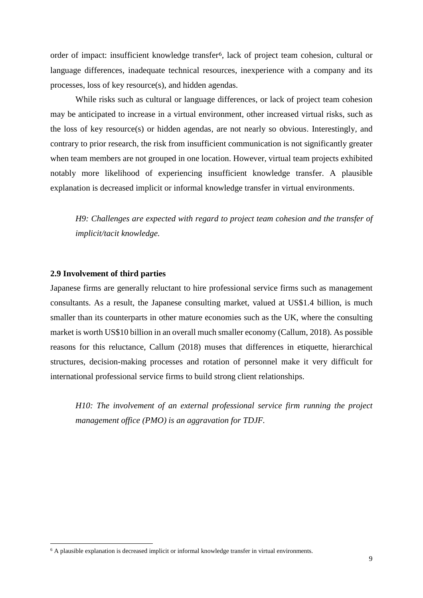order of impact: insufficient knowledge transfer6, lack of project team cohesion, cultural or language differences, inadequate technical resources, inexperience with a company and its processes, loss of key resource(s), and hidden agendas.

While risks such as cultural or language differences, or lack of project team cohesion may be anticipated to increase in a virtual environment, other increased virtual risks, such as the loss of key resource(s) or hidden agendas, are not nearly so obvious. Interestingly, and contrary to prior research, the risk from insufficient communication is not significantly greater when team members are not grouped in one location. However, virtual team projects exhibited notably more likelihood of experiencing insufficient knowledge transfer. A plausible explanation is decreased implicit or informal knowledge transfer in virtual environments.

*H9: Challenges are expected with regard to project team cohesion and the transfer of implicit/tacit knowledge.*

#### **2.9 Involvement of third parties**

 $\overline{a}$ 

Japanese firms are generally reluctant to hire professional service firms such as management consultants. As a result, the Japanese consulting market, valued at US\$1.4 billion, is much smaller than its counterparts in other mature economies such as the UK, where the consulting market is worth US\$10 billion in an overall much smaller economy (Callum, 2018). As possible reasons for this reluctance, Callum (2018) muses that differences in etiquette, hierarchical structures, decision-making processes and rotation of personnel make it very difficult for international professional service firms to build strong client relationships.

*H10: The involvement of an external professional service firm running the project management office (PMO) is an aggravation for TDJF.*

<sup>&</sup>lt;sup>6</sup> A plausible explanation is decreased implicit or informal knowledge transfer in virtual environments.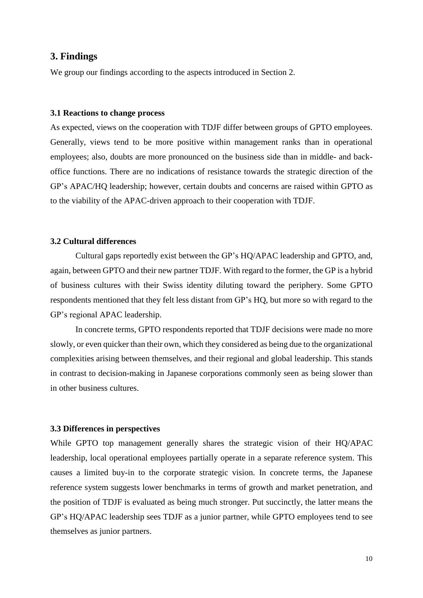# **3. Findings**

We group our findings according to the aspects introduced in Section 2.

#### **3.1 Reactions to change process**

As expected, views on the cooperation with TDJF differ between groups of GPTO employees. Generally, views tend to be more positive within management ranks than in operational employees; also, doubts are more pronounced on the business side than in middle- and backoffice functions. There are no indications of resistance towards the strategic direction of the GP's APAC/HQ leadership; however, certain doubts and concerns are raised within GPTO as to the viability of the APAC-driven approach to their cooperation with TDJF.

#### **3.2 Cultural differences**

Cultural gaps reportedly exist between the GP's HQ/APAC leadership and GPTO, and, again, between GPTO and their new partner TDJF. With regard to the former, the GP is a hybrid of business cultures with their Swiss identity diluting toward the periphery. Some GPTO respondents mentioned that they felt less distant from GP's HQ, but more so with regard to the GP's regional APAC leadership.

In concrete terms, GPTO respondents reported that TDJF decisions were made no more slowly, or even quicker than their own, which they considered as being due to the organizational complexities arising between themselves, and their regional and global leadership. This stands in contrast to decision-making in Japanese corporations commonly seen as being slower than in other business cultures.

#### **3.3 Differences in perspectives**

While GPTO top management generally shares the strategic vision of their HQ/APAC leadership, local operational employees partially operate in a separate reference system. This causes a limited buy-in to the corporate strategic vision. In concrete terms, the Japanese reference system suggests lower benchmarks in terms of growth and market penetration, and the position of TDJF is evaluated as being much stronger. Put succinctly, the latter means the GP's HQ/APAC leadership sees TDJF as a junior partner, while GPTO employees tend to see themselves as junior partners.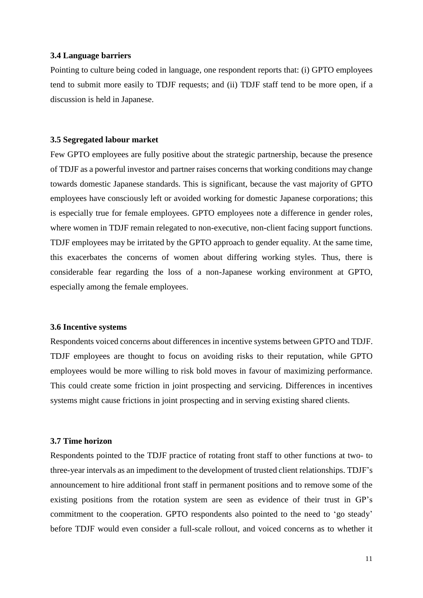#### **3.4 Language barriers**

Pointing to culture being coded in language, one respondent reports that: (i) GPTO employees tend to submit more easily to TDJF requests; and (ii) TDJF staff tend to be more open, if a discussion is held in Japanese.

#### **3.5 Segregated labour market**

Few GPTO employees are fully positive about the strategic partnership, because the presence of TDJF as a powerful investor and partner raises concerns that working conditions may change towards domestic Japanese standards. This is significant, because the vast majority of GPTO employees have consciously left or avoided working for domestic Japanese corporations; this is especially true for female employees. GPTO employees note a difference in gender roles, where women in TDJF remain relegated to non-executive, non-client facing support functions. TDJF employees may be irritated by the GPTO approach to gender equality. At the same time, this exacerbates the concerns of women about differing working styles. Thus, there is considerable fear regarding the loss of a non-Japanese working environment at GPTO, especially among the female employees.

#### **3.6 Incentive systems**

Respondents voiced concerns about differences in incentive systems between GPTO and TDJF. TDJF employees are thought to focus on avoiding risks to their reputation, while GPTO employees would be more willing to risk bold moves in favour of maximizing performance. This could create some friction in joint prospecting and servicing. Differences in incentives systems might cause frictions in joint prospecting and in serving existing shared clients.

#### **3.7 Time horizon**

Respondents pointed to the TDJF practice of rotating front staff to other functions at two- to three-year intervals as an impediment to the development of trusted client relationships. TDJF's announcement to hire additional front staff in permanent positions and to remove some of the existing positions from the rotation system are seen as evidence of their trust in GP's commitment to the cooperation. GPTO respondents also pointed to the need to 'go steady' before TDJF would even consider a full-scale rollout, and voiced concerns as to whether it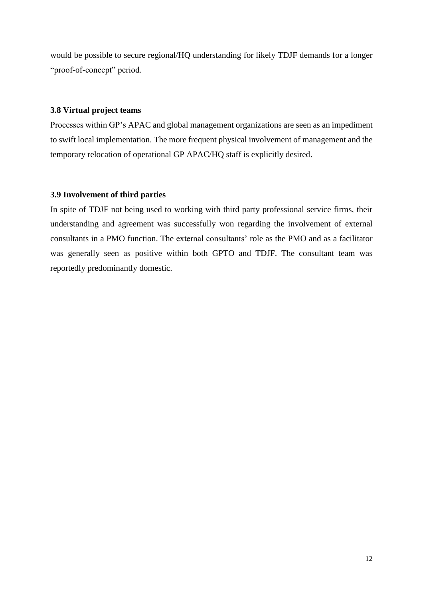would be possible to secure regional/HQ understanding for likely TDJF demands for a longer "proof-of-concept" period.

# **3.8 Virtual project teams**

Processes within GP's APAC and global management organizations are seen as an impediment to swift local implementation. The more frequent physical involvement of management and the temporary relocation of operational GP APAC/HQ staff is explicitly desired.

# **3.9 Involvement of third parties**

In spite of TDJF not being used to working with third party professional service firms, their understanding and agreement was successfully won regarding the involvement of external consultants in a PMO function. The external consultants' role as the PMO and as a facilitator was generally seen as positive within both GPTO and TDJF. The consultant team was reportedly predominantly domestic.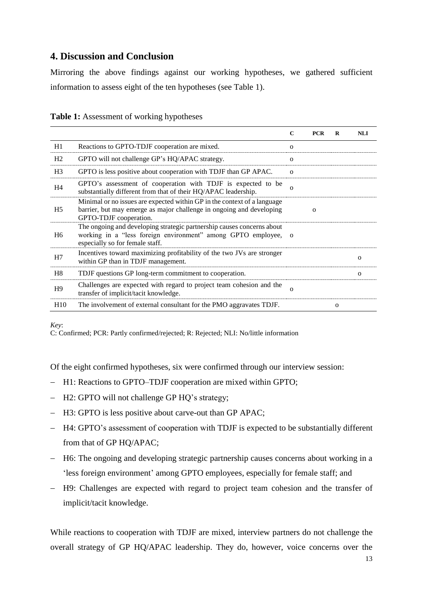# **4. Discussion and Conclusion**

Mirroring the above findings against our working hypotheses, we gathered sufficient information to assess eight of the ten hypotheses (see Table 1).

| <b>Table 1:</b> Assessment of working hypotheses |  |  |
|--------------------------------------------------|--|--|
|--------------------------------------------------|--|--|

|                 |                                                                                                                                                                             | $\mathbf C$  | <b>PCR</b>  | R        | <b>NLI</b>  |
|-----------------|-----------------------------------------------------------------------------------------------------------------------------------------------------------------------------|--------------|-------------|----------|-------------|
| H1              | Reactions to GPTO-TDJF cooperation are mixed.                                                                                                                               | $\mathbf{o}$ |             |          |             |
| H <sub>2</sub>  | GPTO will not challenge GP's HQ/APAC strategy.                                                                                                                              | $\mathbf{o}$ |             |          |             |
| H <sub>3</sub>  | GPTO is less positive about cooperation with TDJF than GP APAC.                                                                                                             | $\mathbf{o}$ |             |          |             |
| H4              | GPTO's assessment of cooperation with TDJF is expected to be<br>substantially different from that of their HQ/APAC leadership.                                              | $\Omega$     |             |          |             |
| H5              | Minimal or no issues are expected within GP in the context of a language<br>barrier, but may emerge as major challenge in ongoing and developing<br>GPTO-TDJF cooperation.  |              | $\mathbf 0$ |          |             |
| H <sub>6</sub>  | The ongoing and developing strategic partnership causes concerns about<br>working in a "less foreign environment" among GPTO employee, o<br>especially so for female staff. |              |             |          |             |
| H7              | Incentives toward maximizing profitability of the two JVs are stronger<br>within GP than in TDJF management.                                                                |              |             |          | $\Omega$    |
| H <sub>8</sub>  | TDJF questions GP long-term commitment to cooperation.                                                                                                                      |              |             |          | $\mathbf 0$ |
| H9              | Challenges are expected with regard to project team cohesion and the<br>transfer of implicit/tacit knowledge.                                                               | $\Omega$     |             |          |             |
| H <sub>10</sub> | The involvement of external consultant for the PMO aggravates TDJF.                                                                                                         |              |             | $\Omega$ |             |

*Key*:

C: Confirmed; PCR: Partly confirmed/rejected; R: Rejected; NLI: No/little information

Of the eight confirmed hypotheses, six were confirmed through our interview session:

- H1: Reactions to GPTO–TDJF cooperation are mixed within GPTO;
- H2: GPTO will not challenge GP HQ's strategy;
- H3: GPTO is less positive about carve-out than GP APAC;
- H4: GPTO's assessment of cooperation with TDJF is expected to be substantially different from that of GP HQ/APAC;
- H6: The ongoing and developing strategic partnership causes concerns about working in a 'less foreign environment' among GPTO employees, especially for female staff; and
- H9: Challenges are expected with regard to project team cohesion and the transfer of implicit/tacit knowledge.

While reactions to cooperation with TDJF are mixed, interview partners do not challenge the overall strategy of GP HQ/APAC leadership. They do, however, voice concerns over the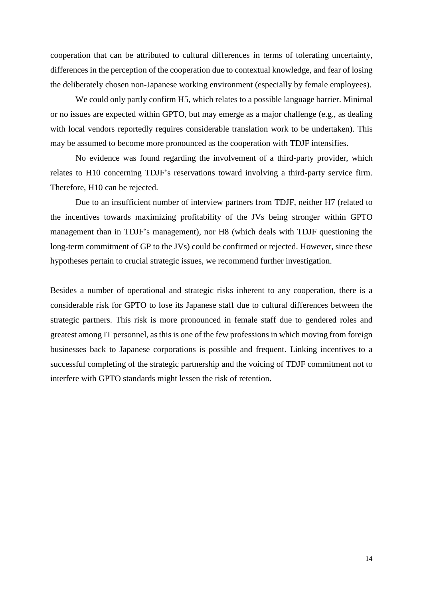cooperation that can be attributed to cultural differences in terms of tolerating uncertainty, differences in the perception of the cooperation due to contextual knowledge, and fear of losing the deliberately chosen non-Japanese working environment (especially by female employees).

We could only partly confirm H5, which relates to a possible language barrier. Minimal or no issues are expected within GPTO, but may emerge as a major challenge (e.g., as dealing with local vendors reportedly requires considerable translation work to be undertaken). This may be assumed to become more pronounced as the cooperation with TDJF intensifies.

No evidence was found regarding the involvement of a third-party provider, which relates to H10 concerning TDJF's reservations toward involving a third-party service firm. Therefore, H10 can be rejected.

Due to an insufficient number of interview partners from TDJF, neither H7 (related to the incentives towards maximizing profitability of the JVs being stronger within GPTO management than in TDJF's management), nor H8 (which deals with TDJF questioning the long-term commitment of GP to the JVs) could be confirmed or rejected. However, since these hypotheses pertain to crucial strategic issues, we recommend further investigation.

Besides a number of operational and strategic risks inherent to any cooperation, there is a considerable risk for GPTO to lose its Japanese staff due to cultural differences between the strategic partners. This risk is more pronounced in female staff due to gendered roles and greatest among IT personnel, as this is one of the few professions in which moving from foreign businesses back to Japanese corporations is possible and frequent. Linking incentives to a successful completing of the strategic partnership and the voicing of TDJF commitment not to interfere with GPTO standards might lessen the risk of retention.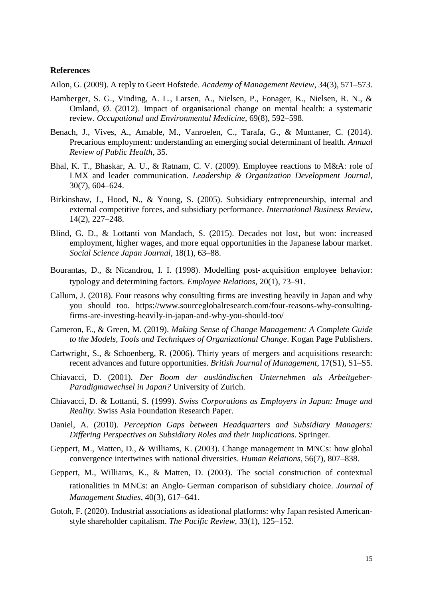#### **References**

Ailon, G. (2009). A reply to Geert Hofstede. *Academy of Management Review*, 34(3), 571–573.

- Bamberger, S. G., Vinding, A. L., Larsen, A., Nielsen, P., Fonager, K., Nielsen, R. N., & Omland, Ø. (2012). Impact of organisational change on mental health: a systematic review. *Occupational and Environmental Medicine*, 69(8), 592–598.
- Benach, J., Vives, A., Amable, M., Vanroelen, C., Tarafa, G., & Muntaner, C. (2014). Precarious employment: understanding an emerging social determinant of health. *Annual Review of Public Health*, 35.
- Bhal, K. T., Bhaskar, A. U., & Ratnam, C. V. (2009). Employee reactions to M&A: role of LMX and leader communication. *Leadership & Organization Development Journal*, 30(7), 604–624.
- Birkinshaw, J., Hood, N., & Young, S. (2005). Subsidiary entrepreneurship, internal and external competitive forces, and subsidiary performance. *International Business Review*, 14(2), 227–248.
- Blind, G. D., & Lottanti von Mandach, S. (2015). Decades not lost, but won: increased employment, higher wages, and more equal opportunities in the Japanese labour market. *Social Science Japan Journal*, 18(1), 63–88.
- Bourantas, D., & Nicandrou, I. I. (1998). Modelling post-acquisition employee behavior: typology and determining factors. *Employee Relations*, 20(1), 73–91*.*
- Callum, J. (2018). Four reasons why consulting firms are investing heavily in Japan and why you should too. [https://www.sourceglobalresearch.com/four-reasons-why-consulting](https://www.sourceglobalresearch.com/four-reasons-why-consulting-firms-are-investing-heavily-in-japan-and-why-you-should-too/)[firms-are-investing-heavily-in-japan-and-why-you-should-too/](https://www.sourceglobalresearch.com/four-reasons-why-consulting-firms-are-investing-heavily-in-japan-and-why-you-should-too/)
- Cameron, E., & Green, M. (2019). *Making Sense of Change Management: A Complete Guide to the Models, Tools and Techniques of Organizational Change*. Kogan Page Publishers.
- Cartwright, S., & Schoenberg, R. (2006). Thirty years of mergers and acquisitions research: recent advances and future opportunities. *British Journal of Management*, 17(S1), S1–S5.
- Chiavacci, D. (2001). *Der Boom der ausländischen Unternehmen als Arbeitgeber-Paradigmawechsel in Japan?* University of Zurich.
- Chiavacci, D. & Lottanti, S. (1999). *Swiss Corporations as Employers in Japan: Image and Reality*. Swiss Asia Foundation Research Paper.
- Daniel, A. (2010). *Perception Gaps between Headquarters and Subsidiary Managers: Differing Perspectives on Subsidiary Roles and their Implications*. Springer.
- Geppert, M., Matten, D., & Williams, K. (2003). Change management in MNCs: how global convergence intertwines with national diversities. *Human Relations*, 56(7), 807–838.
- Geppert, M., Williams, K., & Matten, D. (2003). The social construction of contextual rationalities in MNCs: an Anglo‐ German comparison of subsidiary choice. *Journal of Management Studies*, 40(3), 617–641.
- Gotoh, F. (2020). Industrial associations as ideational platforms: why Japan resisted Americanstyle shareholder capitalism. *The Pacific Review*, 33(1), 125–152.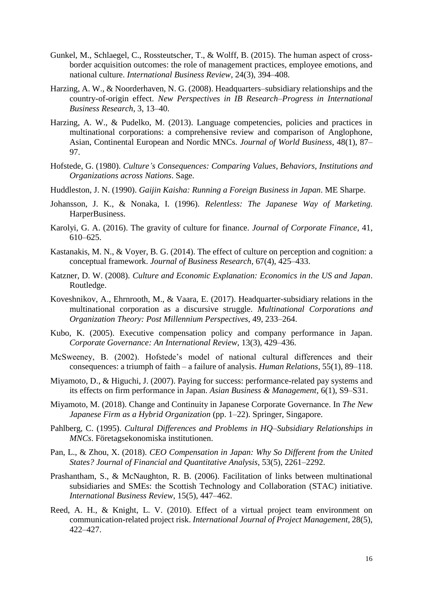- Gunkel, M., Schlaegel, C., Rossteutscher, T., & Wolff, B. (2015). The human aspect of crossborder acquisition outcomes: the role of management practices, employee emotions, and national culture. *International Business Review*, 24(3), 394–408.
- Harzing, A. W., & Noorderhaven, N. G. (2008). Headquarters–subsidiary relationships and the country-of-origin effect. *New Perspectives in IB Research–Progress in International Business Research*, 3, 13–40.
- Harzing, A. W., & Pudelko, M. (2013). Language competencies, policies and practices in multinational corporations: a comprehensive review and comparison of Anglophone, Asian, Continental European and Nordic MNCs. *Journal of World Business*, 48(1), 87– 97.
- Hofstede, G. (1980). *Culture's Consequences: Comparing Values, Behaviors, Institutions and Organizations across Nations*. Sage.
- Huddleston, J. N. (1990). *Gaijin Kaisha: Running a Foreign Business in Japan*. ME Sharpe.
- Johansson, J. K., & Nonaka, I. (1996). *Relentless: The Japanese Way of Marketing.* HarperBusiness.
- Karolyi, G. A. (2016). The gravity of culture for finance. *Journal of Corporate Finance*, 41, 610–625.
- Kastanakis, M. N., & Voyer, B. G. (2014). The effect of culture on perception and cognition: a conceptual framework. *Journal of Business Research*, 67(4), 425–433.
- Katzner, D. W. (2008). *Culture and Economic Explanation: Economics in the US and Japan*. Routledge.
- Koveshnikov, A., Ehrnrooth, M., & Vaara, E. (2017). Headquarter-subsidiary relations in the multinational corporation as a discursive struggle. *Multinational Corporations and Organization Theory: Post Millennium Perspectives*, 49, 233–264.
- Kubo, K. (2005). Executive compensation policy and company performance in Japan. *Corporate Governance: An International Review*, 13(3), 429–436.
- McSweeney, B. (2002). Hofstede's model of national cultural differences and their consequences: a triumph of faith – a failure of analysis. *Human Relations*, 55(1), 89–118.
- Miyamoto, D., & Higuchi, J. (2007). Paying for success: performance-related pay systems and its effects on firm performance in Japan. *Asian Business & Management*, 6(1), S9–S31.
- Miyamoto, M. (2018). Change and Continuity in Japanese Corporate Governance. In *The New Japanese Firm as a Hybrid Organization* (pp. 1–22). Springer, Singapore.
- Pahlberg, C. (1995). *Cultural Differences and Problems in HQ–Subsidiary Relationships in MNCs*. Företagsekonomiska institutionen.
- Pan, L., & Zhou, X. (2018). *CEO Compensation in Japan: Why So Different from the United States? Journal of Financial and Quantitative Analysis*, 53(5), 2261–2292.
- Prashantham, S., & McNaughton, R. B. (2006). Facilitation of links between multinational subsidiaries and SMEs: the Scottish Technology and Collaboration (STAC) initiative. *International Business Review*, 15(5), 447–462.
- Reed, A. H., & Knight, L. V. (2010). Effect of a virtual project team environment on communication-related project risk. *International Journal of Project Management*, 28(5), 422–427.